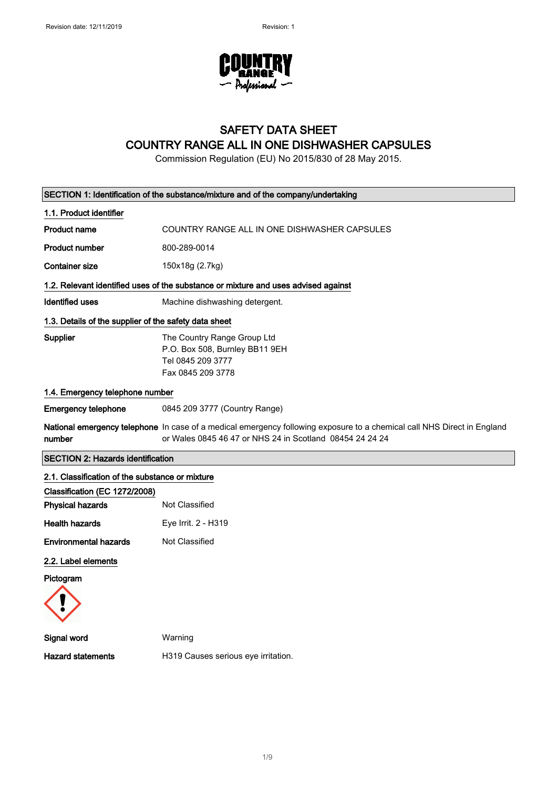

## SAFETY DATA SHEET COUNTRY RANGE ALL IN ONE DISHWASHER CAPSULES

Commission Regulation (EU) No 2015/830 of 28 May 2015.

| SECTION 1: Identification of the substance/mixture and of the company/undertaking                                                                                                             |                                                                                                         |  |
|-----------------------------------------------------------------------------------------------------------------------------------------------------------------------------------------------|---------------------------------------------------------------------------------------------------------|--|
| 1.1. Product identifier                                                                                                                                                                       |                                                                                                         |  |
| <b>Product name</b>                                                                                                                                                                           | COUNTRY RANGE ALL IN ONE DISHWASHER CAPSULES                                                            |  |
| Product number                                                                                                                                                                                | 800-289-0014                                                                                            |  |
| <b>Container size</b>                                                                                                                                                                         | 150x18g (2.7kg)                                                                                         |  |
| 1.2. Relevant identified uses of the substance or mixture and uses advised against                                                                                                            |                                                                                                         |  |
| <b>Identified uses</b>                                                                                                                                                                        | Machine dishwashing detergent.                                                                          |  |
| 1.3. Details of the supplier of the safety data sheet                                                                                                                                         |                                                                                                         |  |
| <b>Supplier</b>                                                                                                                                                                               | The Country Range Group Ltd<br>P.O. Box 508, Burnley BB11 9EH<br>Tel 0845 209 3777<br>Fax 0845 209 3778 |  |
| 1.4. Emergency telephone number                                                                                                                                                               |                                                                                                         |  |
| <b>Emergency telephone</b>                                                                                                                                                                    | 0845 209 3777 (Country Range)                                                                           |  |
| National emergency telephone In case of a medical emergency following exposure to a chemical call NHS Direct in England<br>number<br>or Wales 0845 46 47 or NHS 24 in Scotland 08454 24 24 24 |                                                                                                         |  |
| <b>SECTION 2: Hazards identification</b>                                                                                                                                                      |                                                                                                         |  |
| 2.1. Classification of the substance or mixture                                                                                                                                               |                                                                                                         |  |
| Classification (EC 1272/2008)                                                                                                                                                                 |                                                                                                         |  |
| <b>Physical hazards</b>                                                                                                                                                                       | Not Classified                                                                                          |  |
| <b>Health hazards</b>                                                                                                                                                                         | Eye Irrit. 2 - H319                                                                                     |  |
| <b>Environmental hazards</b>                                                                                                                                                                  | <b>Not Classified</b>                                                                                   |  |
| 2.2. Label elements                                                                                                                                                                           |                                                                                                         |  |
| Pictogram                                                                                                                                                                                     |                                                                                                         |  |
|                                                                                                                                                                                               |                                                                                                         |  |
| Signal word                                                                                                                                                                                   | Warning                                                                                                 |  |
| <b>Hazard statements</b>                                                                                                                                                                      | H319 Causes serious eye irritation.                                                                     |  |
|                                                                                                                                                                                               |                                                                                                         |  |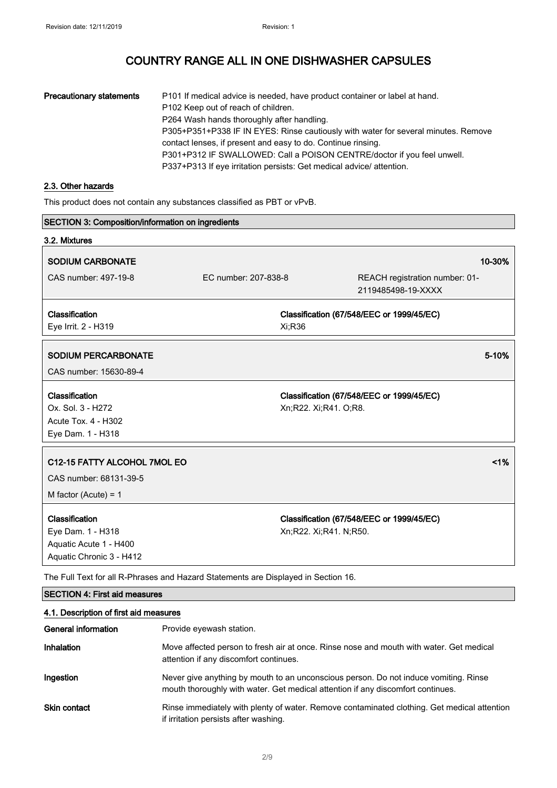| <b>Precautionary statements</b> | P101 If medical advice is needed, have product container or label at hand.<br>P102 Keep out of reach of children.<br>P264 Wash hands thoroughly after handling.<br>P305+P351+P338 IF IN EYES: Rinse cautiously with water for several minutes. Remove<br>contact lenses, if present and easy to do. Continue rinsing.<br>P301+P312 IF SWALLOWED: Call a POISON CENTRE/doctor if you feel unwell. |
|---------------------------------|--------------------------------------------------------------------------------------------------------------------------------------------------------------------------------------------------------------------------------------------------------------------------------------------------------------------------------------------------------------------------------------------------|
|                                 | P337+P313 If eye irritation persists: Get medical advice/ attention.                                                                                                                                                                                                                                                                                                                             |

#### 2.3. Other hazards

This product does not contain any substances classified as PBT or vPvB.

| <b>SECTION 3: Composition/information on ingredients</b> |                                                      |
|----------------------------------------------------------|------------------------------------------------------|
|                                                          |                                                      |
|                                                          | 10-30%                                               |
| EC number: 207-838-8                                     | REACH registration number: 01-<br>2119485498-19-XXXX |
|                                                          | Classification (67/548/EEC or 1999/45/EC)            |
| Xi;R36                                                   |                                                      |
|                                                          | 5-10%                                                |
|                                                          |                                                      |
|                                                          | Classification (67/548/EEC or 1999/45/EC)            |
|                                                          | Xn;R22. Xi;R41. O;R8.                                |
|                                                          |                                                      |
|                                                          |                                                      |
|                                                          | 1%                                                   |
|                                                          |                                                      |
|                                                          |                                                      |
|                                                          | Classification (67/548/EEC or 1999/45/EC)            |
|                                                          | Xn;R22. Xi;R41. N;R50.                               |
|                                                          |                                                      |
|                                                          |                                                      |
|                                                          |                                                      |

The Full Text for all R-Phrases and Hazard Statements are Displayed in Section 16.

### SECTION 4: First aid measures

| 4.1. Description of first aid measures |                                                                                                                                                                         |  |
|----------------------------------------|-------------------------------------------------------------------------------------------------------------------------------------------------------------------------|--|
| <b>General information</b>             | Provide eyewash station.                                                                                                                                                |  |
| <b>Inhalation</b>                      | Move affected person to fresh air at once. Rinse nose and mouth with water. Get medical<br>attention if any discomfort continues.                                       |  |
| Ingestion                              | Never give anything by mouth to an unconscious person. Do not induce vomiting. Rinse<br>mouth thoroughly with water. Get medical attention if any discomfort continues. |  |
| <b>Skin contact</b>                    | Rinse immediately with plenty of water. Remove contaminated clothing. Get medical attention<br>if irritation persists after washing.                                    |  |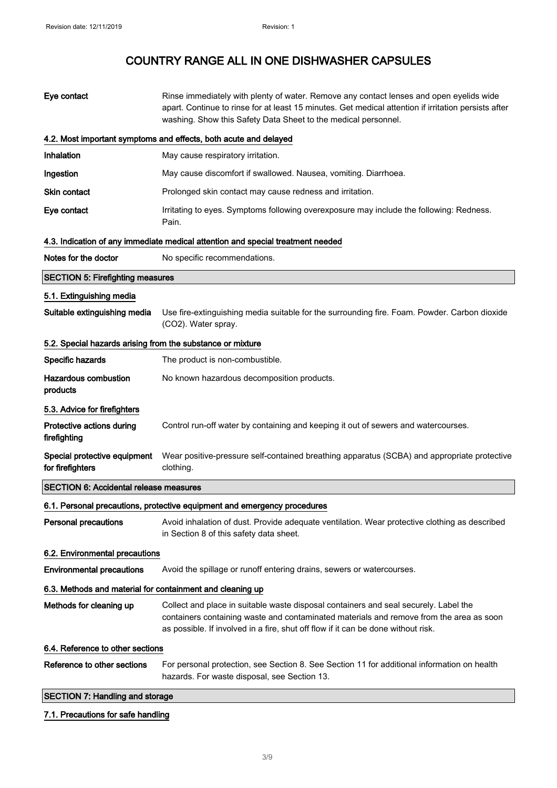| Eye contact                                                | Rinse immediately with plenty of water. Remove any contact lenses and open eyelids wide<br>apart. Continue to rinse for at least 15 minutes. Get medical attention if irritation persists after<br>washing. Show this Safety Data Sheet to the medical personnel.    |  |
|------------------------------------------------------------|----------------------------------------------------------------------------------------------------------------------------------------------------------------------------------------------------------------------------------------------------------------------|--|
|                                                            | 4.2. Most important symptoms and effects, both acute and delayed                                                                                                                                                                                                     |  |
| Inhalation                                                 | May cause respiratory irritation.                                                                                                                                                                                                                                    |  |
| Ingestion                                                  | May cause discomfort if swallowed. Nausea, vomiting. Diarrhoea.                                                                                                                                                                                                      |  |
| <b>Skin contact</b>                                        | Prolonged skin contact may cause redness and irritation.                                                                                                                                                                                                             |  |
| Eye contact                                                | Irritating to eyes. Symptoms following overexposure may include the following: Redness.<br>Pain.                                                                                                                                                                     |  |
|                                                            | 4.3. Indication of any immediate medical attention and special treatment needed                                                                                                                                                                                      |  |
| Notes for the doctor                                       | No specific recommendations.                                                                                                                                                                                                                                         |  |
| <b>SECTION 5: Firefighting measures</b>                    |                                                                                                                                                                                                                                                                      |  |
| 5.1. Extinguishing media                                   |                                                                                                                                                                                                                                                                      |  |
| Suitable extinguishing media                               | Use fire-extinguishing media suitable for the surrounding fire. Foam. Powder. Carbon dioxide<br>(CO2). Water spray.                                                                                                                                                  |  |
| 5.2. Special hazards arising from the substance or mixture |                                                                                                                                                                                                                                                                      |  |
| Specific hazards                                           | The product is non-combustible.                                                                                                                                                                                                                                      |  |
| <b>Hazardous combustion</b><br>products                    | No known hazardous decomposition products.                                                                                                                                                                                                                           |  |
| 5.3. Advice for firefighters                               |                                                                                                                                                                                                                                                                      |  |
| Protective actions during<br>firefighting                  | Control run-off water by containing and keeping it out of sewers and watercourses.                                                                                                                                                                                   |  |
| Special protective equipment<br>for firefighters           | Wear positive-pressure self-contained breathing apparatus (SCBA) and appropriate protective<br>clothing.                                                                                                                                                             |  |
| <b>SECTION 6: Accidental release measures</b>              |                                                                                                                                                                                                                                                                      |  |
|                                                            | 6.1. Personal precautions, protective equipment and emergency procedures                                                                                                                                                                                             |  |
| <b>Personal precautions</b>                                | Avoid inhalation of dust. Provide adequate ventilation. Wear protective clothing as described<br>in Section 8 of this safety data sheet.                                                                                                                             |  |
| 6.2. Environmental precautions                             |                                                                                                                                                                                                                                                                      |  |
| <b>Environmental precautions</b>                           | Avoid the spillage or runoff entering drains, sewers or watercourses.                                                                                                                                                                                                |  |
| 6.3. Methods and material for containment and cleaning up  |                                                                                                                                                                                                                                                                      |  |
| Methods for cleaning up                                    | Collect and place in suitable waste disposal containers and seal securely. Label the<br>containers containing waste and contaminated materials and remove from the area as soon<br>as possible. If involved in a fire, shut off flow if it can be done without risk. |  |
| 6.4. Reference to other sections                           |                                                                                                                                                                                                                                                                      |  |
| Reference to other sections                                | For personal protection, see Section 8. See Section 11 for additional information on health<br>hazards. For waste disposal, see Section 13.                                                                                                                          |  |
| <b>SECTION 7: Handling and storage</b>                     |                                                                                                                                                                                                                                                                      |  |

### 7.1. Precautions for safe handling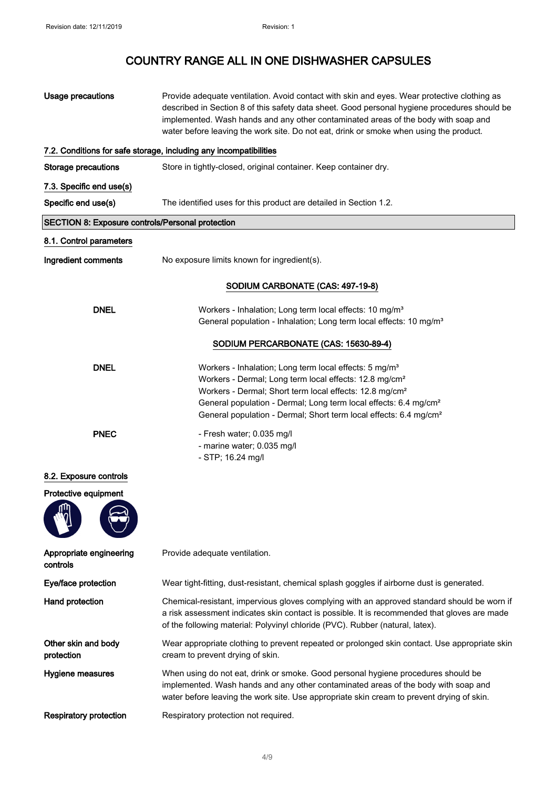| <b>Usage precautions</b>                                | Provide adequate ventilation. Avoid contact with skin and eyes. Wear protective clothing as<br>described in Section 8 of this safety data sheet. Good personal hygiene procedures should be<br>implemented. Wash hands and any other contaminated areas of the body with soap and<br>water before leaving the work site. Do not eat, drink or smoke when using the product.      |  |
|---------------------------------------------------------|----------------------------------------------------------------------------------------------------------------------------------------------------------------------------------------------------------------------------------------------------------------------------------------------------------------------------------------------------------------------------------|--|
|                                                         | 7.2. Conditions for safe storage, including any incompatibilities                                                                                                                                                                                                                                                                                                                |  |
| Storage precautions                                     | Store in tightly-closed, original container. Keep container dry.                                                                                                                                                                                                                                                                                                                 |  |
| 7.3. Specific end use(s)                                |                                                                                                                                                                                                                                                                                                                                                                                  |  |
| Specific end use(s)                                     | The identified uses for this product are detailed in Section 1.2.                                                                                                                                                                                                                                                                                                                |  |
| <b>SECTION 8: Exposure controls/Personal protection</b> |                                                                                                                                                                                                                                                                                                                                                                                  |  |
| 8.1. Control parameters                                 |                                                                                                                                                                                                                                                                                                                                                                                  |  |
| Ingredient comments                                     | No exposure limits known for ingredient(s).                                                                                                                                                                                                                                                                                                                                      |  |
|                                                         | SODIUM CARBONATE (CAS: 497-19-8)                                                                                                                                                                                                                                                                                                                                                 |  |
| <b>DNEL</b>                                             | Workers - Inhalation; Long term local effects: 10 mg/m <sup>3</sup><br>General population - Inhalation; Long term local effects: 10 mg/m <sup>3</sup>                                                                                                                                                                                                                            |  |
|                                                         |                                                                                                                                                                                                                                                                                                                                                                                  |  |
|                                                         | SODIUM PERCARBONATE (CAS: 15630-89-4)                                                                                                                                                                                                                                                                                                                                            |  |
| <b>DNEL</b>                                             | Workers - Inhalation; Long term local effects: 5 mg/m <sup>3</sup><br>Workers - Dermal; Long term local effects: 12.8 mg/cm <sup>2</sup><br>Workers - Dermal; Short term local effects: 12.8 mg/cm <sup>2</sup><br>General population - Dermal; Long term local effects: 6.4 mg/cm <sup>2</sup><br>General population - Dermal; Short term local effects: 6.4 mg/cm <sup>2</sup> |  |
| <b>PNEC</b>                                             | - Fresh water; 0.035 mg/l<br>- marine water; 0.035 mg/l<br>- STP; 16.24 mg/l                                                                                                                                                                                                                                                                                                     |  |
| 8.2. Exposure controls                                  |                                                                                                                                                                                                                                                                                                                                                                                  |  |
| Protective equipment                                    |                                                                                                                                                                                                                                                                                                                                                                                  |  |
| Appropriate engineering<br>controls                     | Provide adequate ventilation.                                                                                                                                                                                                                                                                                                                                                    |  |
| Eye/face protection                                     | Wear tight-fitting, dust-resistant, chemical splash goggles if airborne dust is generated.                                                                                                                                                                                                                                                                                       |  |
| Hand protection                                         | Chemical-resistant, impervious gloves complying with an approved standard should be worn if<br>a risk assessment indicates skin contact is possible. It is recommended that gloves are made<br>of the following material: Polyvinyl chloride (PVC). Rubber (natural, latex).                                                                                                     |  |
| Other skin and body<br>protection                       | Wear appropriate clothing to prevent repeated or prolonged skin contact. Use appropriate skin<br>cream to prevent drying of skin.                                                                                                                                                                                                                                                |  |
| Hygiene measures                                        | When using do not eat, drink or smoke. Good personal hygiene procedures should be<br>implemented. Wash hands and any other contaminated areas of the body with soap and<br>water before leaving the work site. Use appropriate skin cream to prevent drying of skin.                                                                                                             |  |
| <b>Respiratory protection</b>                           | Respiratory protection not required.                                                                                                                                                                                                                                                                                                                                             |  |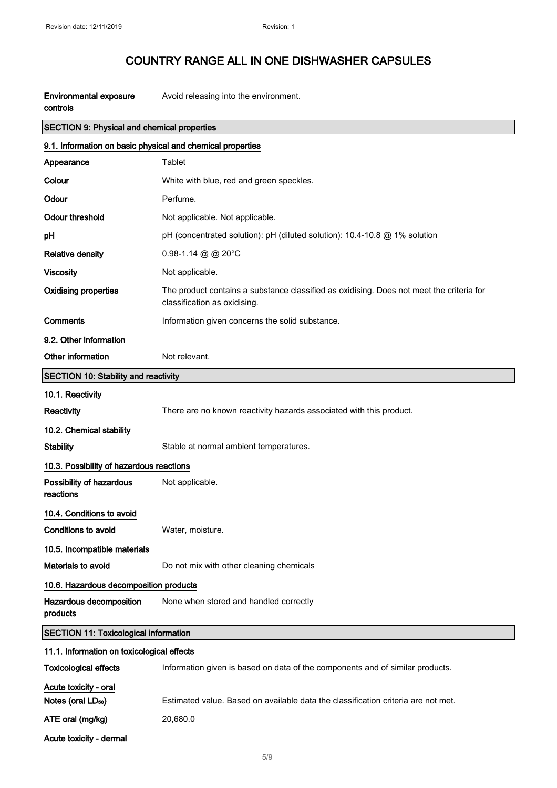Environmental exposure

# COUNTRY RANGE ALL IN ONE DISHWASHER CAPSULES

Avoid releasing into the environment.

| controls                                                   |                                                                                                                          |  |
|------------------------------------------------------------|--------------------------------------------------------------------------------------------------------------------------|--|
| <b>SECTION 9: Physical and chemical properties</b>         |                                                                                                                          |  |
| 9.1. Information on basic physical and chemical properties |                                                                                                                          |  |
| Appearance                                                 | Tablet                                                                                                                   |  |
| Colour                                                     | White with blue, red and green speckles.                                                                                 |  |
| Odour                                                      | Perfume.                                                                                                                 |  |
| <b>Odour threshold</b>                                     | Not applicable. Not applicable.                                                                                          |  |
| pH                                                         | pH (concentrated solution): $pH$ (diluted solution): 10.4-10.8 $@$ 1% solution                                           |  |
| <b>Relative density</b>                                    | 0.98-1.14 @ @ 20°C                                                                                                       |  |
| <b>Viscosity</b>                                           | Not applicable.                                                                                                          |  |
| <b>Oxidising properties</b>                                | The product contains a substance classified as oxidising. Does not meet the criteria for<br>classification as oxidising. |  |
| Comments                                                   | Information given concerns the solid substance.                                                                          |  |
| 9.2. Other information                                     |                                                                                                                          |  |
| Other information                                          | Not relevant.                                                                                                            |  |
| <b>SECTION 10: Stability and reactivity</b>                |                                                                                                                          |  |
| 10.1. Reactivity                                           |                                                                                                                          |  |
| Reactivity                                                 | There are no known reactivity hazards associated with this product.                                                      |  |
| 10.2. Chemical stability                                   |                                                                                                                          |  |
| <b>Stability</b>                                           | Stable at normal ambient temperatures.                                                                                   |  |
| 10.3. Possibility of hazardous reactions                   |                                                                                                                          |  |
| Possibility of hazardous<br>reactions                      | Not applicable.                                                                                                          |  |
| 10.4. Conditions to avoid                                  |                                                                                                                          |  |
| <b>Conditions to avoid</b>                                 | Water, moisture.                                                                                                         |  |
| 10.5. Incompatible materials                               |                                                                                                                          |  |
| Materials to avoid                                         | Do not mix with other cleaning chemicals                                                                                 |  |
| 10.6. Hazardous decomposition products                     |                                                                                                                          |  |
| Hazardous decomposition<br>products                        | None when stored and handled correctly                                                                                   |  |
| <b>SECTION 11: Toxicological information</b>               |                                                                                                                          |  |
| 11.1. Information on toxicological effects                 |                                                                                                                          |  |
| <b>Toxicological effects</b>                               | Information given is based on data of the components and of similar products.                                            |  |
| Acute toxicity - oral                                      |                                                                                                                          |  |

| Estimated value. Based on available data the classification criteria are not met. |
|-----------------------------------------------------------------------------------|
|-----------------------------------------------------------------------------------|

ATE oral (mg/kg) 20,680.0

Acute toxicity - dermal

Notes (oral LD<sub>50</sub>)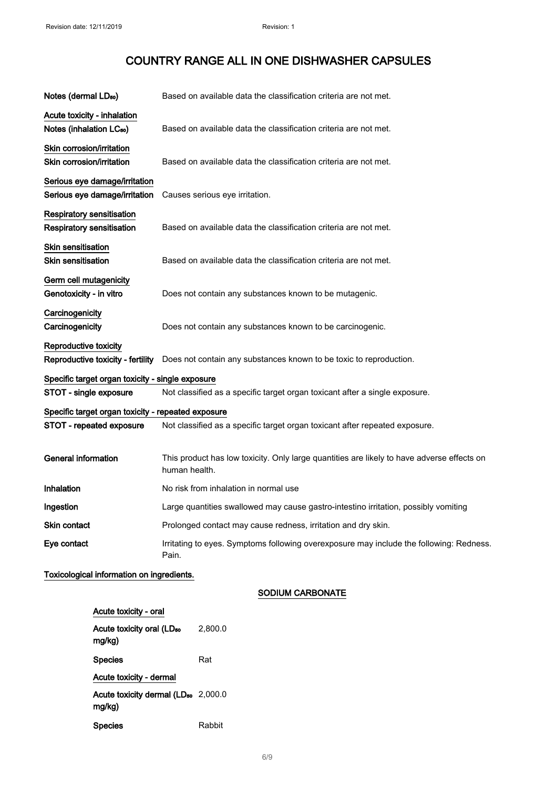| Notes (dermal LD <sub>50</sub> )                                     | Based on available data the classification criteria are not met.                                            |  |
|----------------------------------------------------------------------|-------------------------------------------------------------------------------------------------------------|--|
| Acute toxicity - inhalation<br>Notes (inhalation LC <sub>50</sub> )  | Based on available data the classification criteria are not met.                                            |  |
| Skin corrosion/irritation<br>Skin corrosion/irritation               | Based on available data the classification criteria are not met.                                            |  |
| Serious eye damage/irritation<br>Serious eye damage/irritation       | Causes serious eye irritation.                                                                              |  |
| <b>Respiratory sensitisation</b><br><b>Respiratory sensitisation</b> | Based on available data the classification criteria are not met.                                            |  |
| <b>Skin sensitisation</b><br><b>Skin sensitisation</b>               | Based on available data the classification criteria are not met.                                            |  |
| Germ cell mutagenicity<br>Genotoxicity - in vitro                    | Does not contain any substances known to be mutagenic.                                                      |  |
| Carcinogenicity<br>Carcinogenicity                                   | Does not contain any substances known to be carcinogenic.                                                   |  |
| Reproductive toxicity<br>Reproductive toxicity - fertility           | Does not contain any substances known to be toxic to reproduction.                                          |  |
| Specific target organ toxicity - single exposure                     |                                                                                                             |  |
| STOT - single exposure                                               | Not classified as a specific target organ toxicant after a single exposure.                                 |  |
| Specific target organ toxicity - repeated exposure                   |                                                                                                             |  |
| STOT - repeated exposure                                             | Not classified as a specific target organ toxicant after repeated exposure.                                 |  |
| <b>General information</b>                                           | This product has low toxicity. Only large quantities are likely to have adverse effects on<br>human health. |  |
| <b>Inhalation</b>                                                    | No risk from inhalation in normal use                                                                       |  |
| Ingestion                                                            | Large quantities swallowed may cause gastro-intestino irritation, possibly vomiting                         |  |
| Skin contact                                                         | Prolonged contact may cause redness, irritation and dry skin.                                               |  |
| Eye contact                                                          | Irritating to eyes. Symptoms following overexposure may include the following: Redness.<br>Pain.            |  |

### Toxicological information on ingredients.

### SODIUM CARBONATE

| Acute toxicity - oral                                     |         |
|-----------------------------------------------------------|---------|
| Acute toxicity oral (LD <sub>50</sub><br>mg/kg)           | 2.800.0 |
| <b>Species</b>                                            | Rat     |
| Acute toxicity - dermal                                   |         |
| Acute toxicity dermal (LD <sub>50</sub> 2,000.0<br>mg/kg) |         |
| <b>Species</b>                                            | Rabbit  |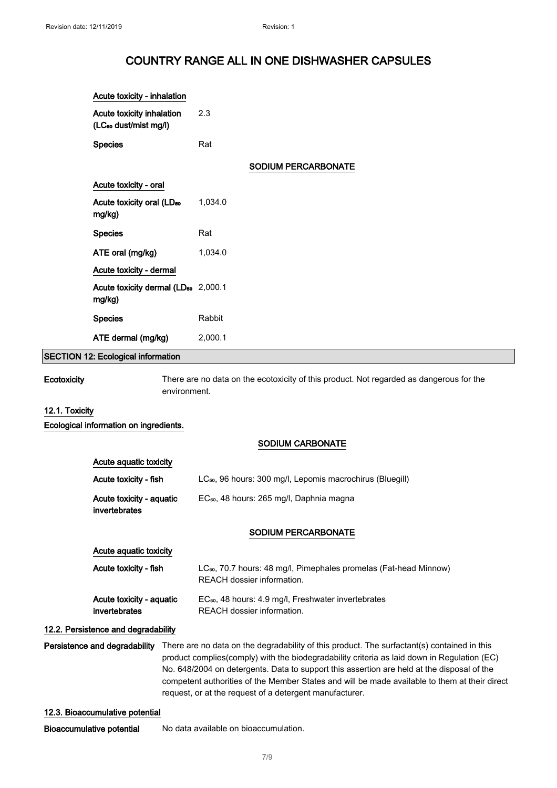| Acute toxicity - inhalation                                    |         |                     |  |
|----------------------------------------------------------------|---------|---------------------|--|
| Acute toxicity inhalation<br>(LC <sub>50</sub> dust/mist mg/l) | 2.3     |                     |  |
| <b>Species</b>                                                 | Rat     |                     |  |
|                                                                |         | SODIUM PERCARBONATE |  |
| Acute toxicity - oral                                          |         |                     |  |
| Acute toxicity oral (LD <sub>50</sub><br>mg/kg)                | 1,034.0 |                     |  |
| <b>Species</b>                                                 | Rat     |                     |  |
| ATE oral (mg/kg)                                               | 1,034.0 |                     |  |
| Acute toxicity - dermal                                        |         |                     |  |
| Acute toxicity dermal (LD <sub>50</sub> 2,000.1<br>mg/kg)      |         |                     |  |
| <b>Species</b>                                                 | Rabbit  |                     |  |
| ATE dermal (mg/kg)                                             | 2,000.1 |                     |  |

#### SECTION 12: Ecological information

Ecotoxicity There are no data on the ecotoxicity of this product. Not regarded as dangerous for the environment.

#### 12.1. Toxicity

Ecological information on ingredients.

#### SODIUM CARBONATE

| Acute aguatic toxicity                    |                                                                                                             |
|-------------------------------------------|-------------------------------------------------------------------------------------------------------------|
| Acute toxicity - fish                     | LC <sub>50</sub> , 96 hours: 300 mg/l, Lepomis macrochirus (Bluegill)                                       |
| Acute toxicity - aquatic<br>invertebrates | EC <sub>50</sub> , 48 hours: 265 mg/l, Daphnia magna                                                        |
|                                           | <b>SODIUM PERCARBONATE</b>                                                                                  |
| Acute aguatic toxicity                    |                                                                                                             |
| Acute toxicity - fish                     | LC <sub>50</sub> , 70.7 hours: 48 mg/l, Pimephales promelas (Fat-head Minnow)<br>REACH dossier information. |
| Acute toxicity - aquatic<br>invertebrates | EC <sub>50</sub> , 48 hours: 4.9 mg/l, Freshwater invertebrates<br>REACH dossier information.               |

#### 12.2. Persistence and degradability

Persistence and degradability There are no data on the degradability of this product. The surfactant(s) contained in this product complies(comply) with the biodegradability criteria as laid down in Regulation (EC) No. 648/2004 on detergents. Data to support this assertion are held at the disposal of the competent authorities of the Member States and will be made available to them at their direct request, or at the request of a detergent manufacturer.

#### 12.3. Bioaccumulative potential

Bioaccumulative potential No data available on bioaccumulation.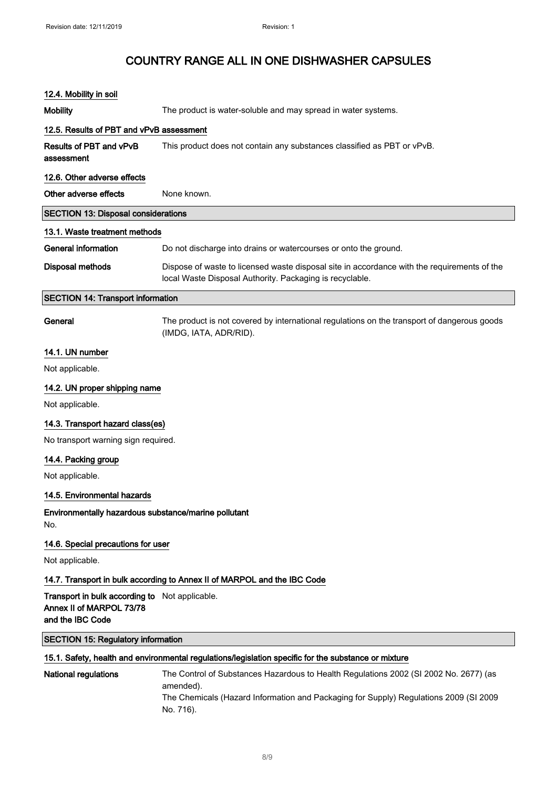### 12.4. Mobility in soil

| <b>Mobility</b>                                                                                | The product is water-soluble and may spread in water systems.                                                                                           |
|------------------------------------------------------------------------------------------------|---------------------------------------------------------------------------------------------------------------------------------------------------------|
| 12.5. Results of PBT and vPvB assessment                                                       |                                                                                                                                                         |
| Results of PBT and vPvB<br>assessment                                                          | This product does not contain any substances classified as PBT or vPvB.                                                                                 |
| 12.6. Other adverse effects                                                                    |                                                                                                                                                         |
| Other adverse effects                                                                          | None known.                                                                                                                                             |
| <b>SECTION 13: Disposal considerations</b>                                                     |                                                                                                                                                         |
| 13.1. Waste treatment methods                                                                  |                                                                                                                                                         |
| <b>General information</b>                                                                     | Do not discharge into drains or watercourses or onto the ground.                                                                                        |
| <b>Disposal methods</b>                                                                        | Dispose of waste to licensed waste disposal site in accordance with the requirements of the<br>local Waste Disposal Authority. Packaging is recyclable. |
| <b>SECTION 14: Transport information</b>                                                       |                                                                                                                                                         |
| General                                                                                        | The product is not covered by international regulations on the transport of dangerous goods<br>(IMDG, IATA, ADR/RID).                                   |
| 14.1. UN number                                                                                |                                                                                                                                                         |
| Not applicable.                                                                                |                                                                                                                                                         |
| 14.2. UN proper shipping name                                                                  |                                                                                                                                                         |
| Not applicable.                                                                                |                                                                                                                                                         |
| 14.3. Transport hazard class(es)                                                               |                                                                                                                                                         |
| No transport warning sign required.                                                            |                                                                                                                                                         |
| 14.4. Packing group                                                                            |                                                                                                                                                         |
| Not applicable.                                                                                |                                                                                                                                                         |
| 14.5. Environmental hazards                                                                    |                                                                                                                                                         |
| Environmentally hazardous substance/marine pollutant<br>No.                                    |                                                                                                                                                         |
| 14.6. Special precautions for user                                                             |                                                                                                                                                         |
| Not applicable.                                                                                |                                                                                                                                                         |
|                                                                                                | 14.7. Transport in bulk according to Annex II of MARPOL and the IBC Code                                                                                |
| Transport in bulk according to Not applicable.<br>Annex II of MARPOL 73/78<br>and the IBC Code |                                                                                                                                                         |
| <b>SECTION 15: Regulatory information</b>                                                      |                                                                                                                                                         |
|                                                                                                | 15.1. Safety, health and environmental regulations/legislation specific for the substance or mixture                                                    |
| National regulations                                                                           | The Control of Substances Hazardous to Health Regulations 2002 (SI 2002 No. 2677) (as<br>amended).                                                      |

The Chemicals (Hazard Information and Packaging for Supply) Regulations 2009 (SI 2009 No. 716).